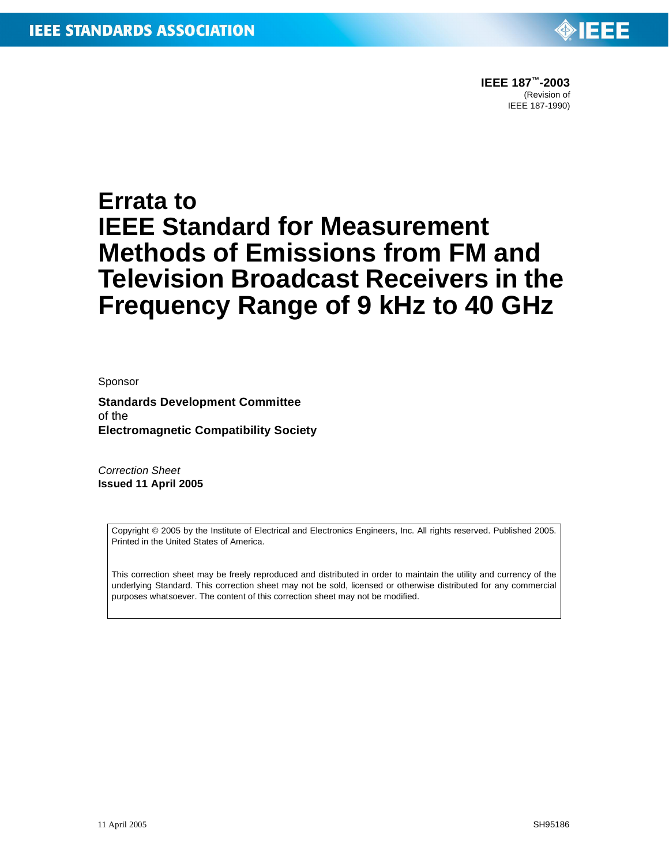

## **Errata to IEEE Standard for Measurement Methods of Emissions from FM and Television Broadcast Receivers in the Frequency Range of 9 kHz to 40 GHz**

Sponsor

**Standards Development Committee** of the **Electromagnetic Compatibility Society**

*Correction Sheet* **Issued 11 April 2005**

> Copyright © 2005 by the Institute of Electrical and Electronics Engineers, Inc. All rights reserved. Published 2005. Printed in the United States of America.

> This correction sheet may be freely reproduced and distributed in order to maintain the utility and currency of the underlying Standard. This correction sheet may not be sold, licensed or otherwise distributed for any commercial purposes whatsoever. The content of this correction sheet may not be modified.